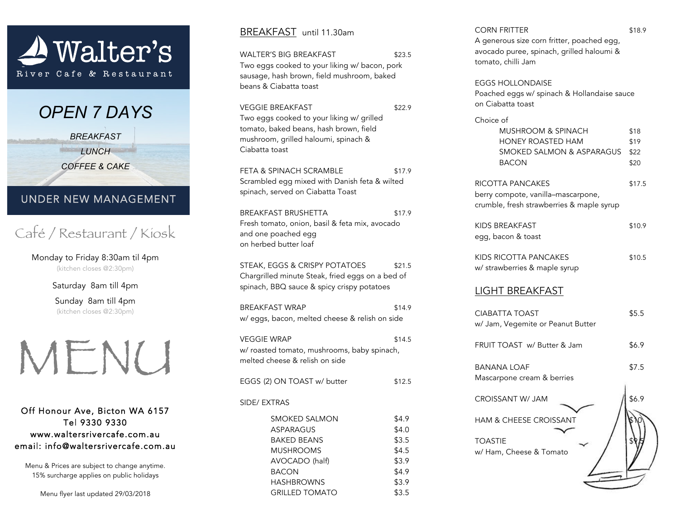

*OPEN 7 DAYS*

*BREAKFAST LUNCH*

*COFFEE & CAKE*

## UNDER NEW MANAGEMENT

Café / Restaurant / Kiosk

Monday to Friday 8:30am til 4pm (kitchen closes @2:30pm)

Saturday 8am till 4pm

Sunday 8am till 4pm (kitchen closes @2:30pm)



Off Honour Ave, Bicton WA 6157 Tel 9330 9330 www.waltersrivercafe.com.au email: info@waltersrivercafe.com.au

Menu & Prices are subject to change anytime. 15% surcharge applies on public holidays

Menu flyer last updated 29/03/2018

#### BREAKFAST until 11.30am

| \$23.5<br>Two eggs cooked to your liking w/ bacon, pork<br>sausage, hash brown, field mushroom, baked |
|-------------------------------------------------------------------------------------------------------|
| \$22.9                                                                                                |
| \$17.9<br>Scrambled egg mixed with Danish feta & wilted                                               |
| \$17.9<br>Fresh tomato, onion, basil & feta mix, avocado                                              |
| \$21.5<br>Chargrilled minute Steak, fried eggs on a bed of                                            |
| \$14.9<br>w/ eggs, bacon, melted cheese & relish on side                                              |
| \$14.5<br>w/ roasted tomato, mushrooms, baby spinach,                                                 |
| \$12.5                                                                                                |
|                                                                                                       |
| \$4.9<br>\$4.0<br>\$3.5<br>\$4.5<br>\$3.9<br>\$4.9<br>\$3.9<br>\$3.5                                  |
|                                                                                                       |

# CORN FRITTER \$18.9 A generous size corn fritter, poached egg, avocado puree, spinach, grilled haloumi & tomato, chilli Jam EGGS HOLLONDAISE Poached eggs w/ spinach & Hollandaise sauce on Ciabatta toast Choice of MUSHROOM & SPINACH \$18 HONEY ROASTED HAM \$19 SMOKED SALMON & ASPARAGUS \$22 BACON \$20 RICOTTA PANCAKES \$17.5 berry compote, vanilla–mascarpone, crumble, fresh strawberries & maple syrup KIDS BREAKFAST \$10.9 egg, bacon & toast KIDS RICOTTA PANCAKES \$10.5 w/ strawberries & maple syrup LIGHT BREAKFAST CIABATTA TOAST \$5.5 w/ Jam, Vegemite or Peanut Butter FRUIT TOAST w/ Butter & Jam \$6.9 BANANA LOAF \$7.5 Mascarpone cream & berries  $CROISSANT W/JAM$   $186.9$ HAM & CHEESE CROISSANT

**TOASTIE** w/ Ham, Cheese & Tomato